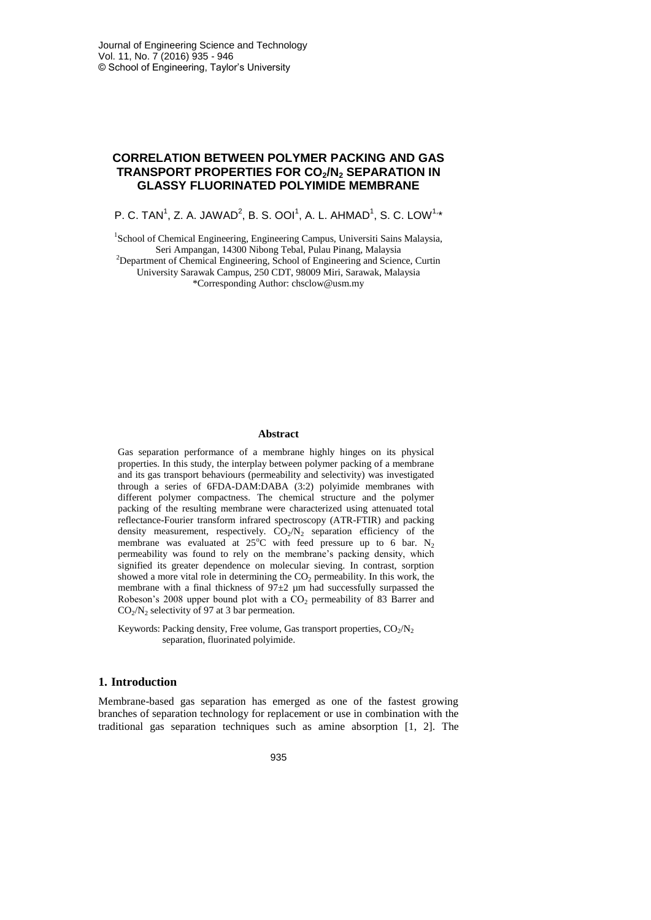# **CORRELATION BETWEEN POLYMER PACKING AND GAS TRANSPORT PROPERTIES FOR CO2/N<sup>2</sup> SEPARATION IN GLASSY FLUORINATED POLYIMIDE MEMBRANE**

P. C. TAN $^1$ , Z. A. JAWAD $^2$ , B. S. OOI $^1$ , A. L. AHMAD $^1$ , S. C. LOW $^{1,\ast}$ 

<sup>1</sup>School of Chemical Engineering, Engineering Campus, Universiti Sains Malaysia, Seri Ampangan, 14300 Nibong Tebal, Pulau Pinang, Malaysia <sup>2</sup>Department of Chemical Engineering, School of Engineering and Science, Curtin University Sarawak Campus, 250 CDT, 98009 Miri, Sarawak, Malaysia \*Corresponding Author: chsclow@usm.my

#### **Abstract**

Gas separation performance of a membrane highly hinges on its physical properties. In this study, the interplay between polymer packing of a membrane and its gas transport behaviours (permeability and selectivity) was investigated through a series of 6FDA-DAM:DABA (3:2) polyimide membranes with different polymer compactness. The chemical structure and the polymer packing of the resulting membrane were characterized using attenuated total reflectance-Fourier transform infrared spectroscopy (ATR-FTIR) and packing density measurement, respectively.  $CO_2/N_2$  separation efficiency of the membrane was evaluated at  $25^{\circ}$ C with feed pressure up to 6 bar. N<sub>2</sub> permeability was found to rely on the membrane's packing density, which signified its greater dependence on molecular sieving. In contrast, sorption showed a more vital role in determining the  $CO<sub>2</sub>$  permeability. In this work, the membrane with a final thickness of 97±2 µm had successfully surpassed the Robeson's 2008 upper bound plot with a  $CO<sub>2</sub>$  permeability of 83 Barrer and  $CO<sub>2</sub>/N<sub>2</sub>$  selectivity of 97 at 3 bar permeation.

Keywords: Packing density, Free volume, Gas transport properties,  $CO_2/N_2$ separation, fluorinated polyimide.

#### **1. Introduction**

Membrane-based gas separation has emerged as one of the fastest growing branches of separation technology for replacement or use in combination with the traditional gas separation techniques such as amine absorption [\[1,](#page-9-0) [2\]](#page-9-1). The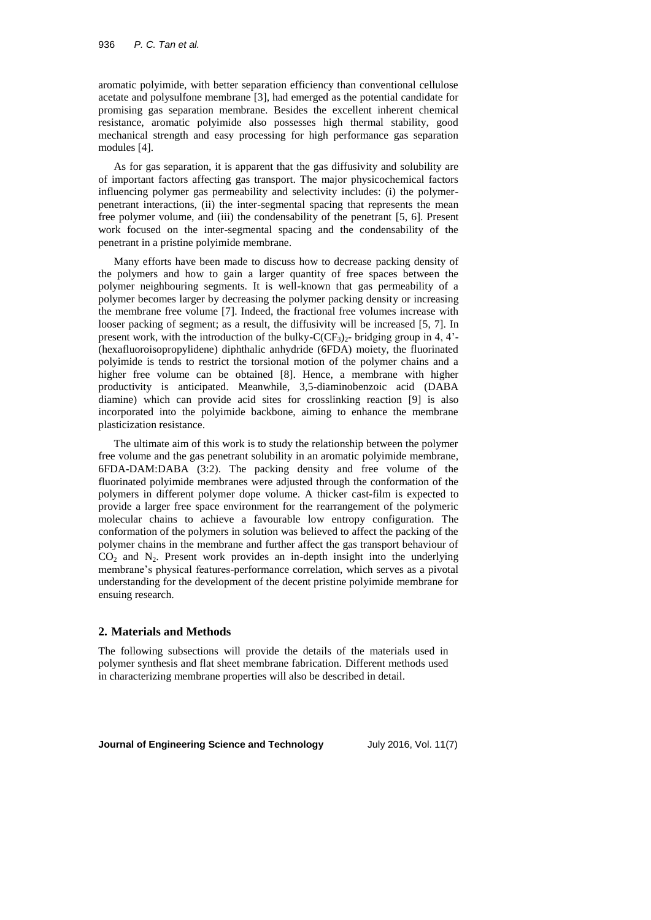aromatic polyimide, with better separation efficiency than conventional cellulose acetate and polysulfone membrane [\[3\]](#page-9-2), had emerged as the potential candidate for promising gas separation membrane. Besides the excellent inherent chemical resistance, aromatic polyimide also possesses high thermal stability, good mechanical strength and easy processing for high performance gas separation modules [\[4\]](#page-9-3).

As for gas separation, it is apparent that the gas diffusivity and solubility are of important factors affecting gas transport. The major physicochemical factors influencing polymer gas permeability and selectivity includes: (i) the polymerpenetrant interactions, (ii) the inter-segmental spacing that represents the mean free polymer volume, and (iii) the condensability of the penetrant [\[5,](#page-9-4) [6\]](#page-9-5). Present work focused on the inter-segmental spacing and the condensability of the penetrant in a pristine polyimide membrane.

Many efforts have been made to discuss how to decrease packing density of the polymers and how to gain a larger quantity of free spaces between the polymer neighbouring segments. It is well-known that gas permeability of a polymer becomes larger by decreasing the polymer packing density or increasing the membrane free volume [\[7\]](#page-9-6). Indeed, the fractional free volumes increase with looser packing of segment; as a result, the diffusivity will be increased [\[5,](#page-9-4) [7\]](#page-9-6). In present work, with the introduction of the bulky- $C(CF_3)_2$ - bridging group in 4, 4'-(hexafluoroisopropylidene) diphthalic anhydride (6FDA) moiety, the fluorinated polyimide is tends to restrict the torsional motion of the polymer chains and a higher free volume can be obtained [\[8\]](#page-9-7). Hence, a membrane with higher productivity is anticipated. Meanwhile, 3,5-diaminobenzoic acid (DABA diamine) which can provide acid sites for crosslinking reaction [\[9\]](#page-10-0) is also incorporated into the polyimide backbone, aiming to enhance the membrane plasticization resistance.

The ultimate aim of this work is to study the relationship between the polymer free volume and the gas penetrant solubility in an aromatic polyimide membrane, 6FDA-DAM:DABA (3:2). The packing density and free volume of the fluorinated polyimide membranes were adjusted through the conformation of the polymers in different polymer dope volume. A thicker cast-film is expected to provide a larger free space environment for the rearrangement of the polymeric molecular chains to achieve a favourable low entropy configuration. The conformation of the polymers in solution was believed to affect the packing of the polymer chains in the membrane and further affect the gas transport behaviour of  $CO<sub>2</sub>$  and N<sub>2</sub>. Present work provides an in-depth insight into the underlying membrane's physical features-performance correlation, which serves as a pivotal understanding for the development of the decent pristine polyimide membrane for ensuing research.

### **2. Materials and Methods**

The following subsections will provide the details of the materials used in polymer synthesis and flat sheet membrane fabrication. Different methods used in characterizing membrane properties will also be described in detail.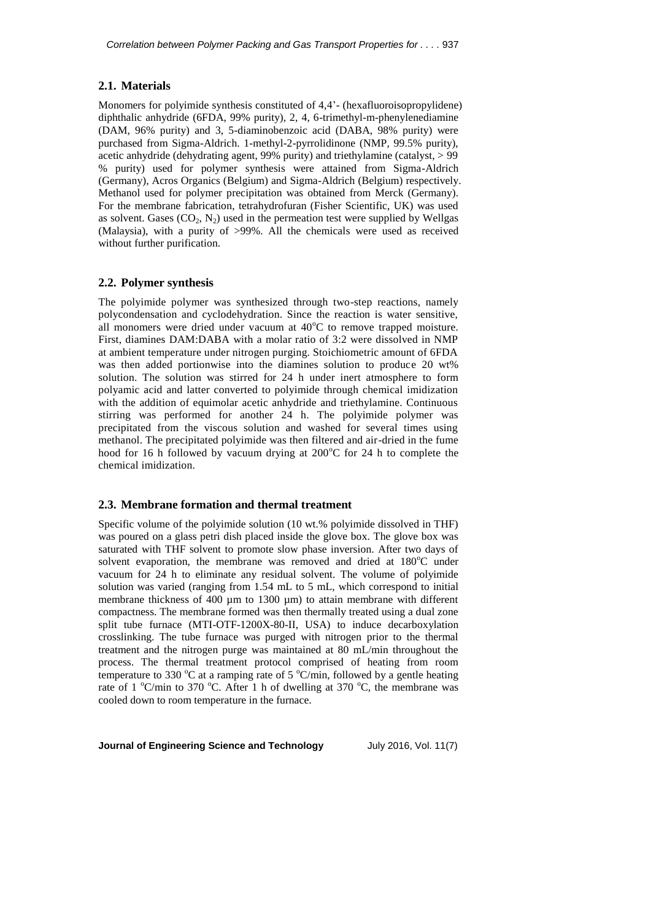### **2.1. Materials**

Monomers for polyimide synthesis constituted of 4,4'- (hexafluoroisopropylidene) diphthalic anhydride (6FDA, 99% purity), 2, 4, 6-trimethyl-m-phenylenediamine (DAM, 96% purity) and 3, 5-diaminobenzoic acid (DABA, 98% purity) were purchased from Sigma-Aldrich. 1-methyl-2-pyrrolidinone (NMP, 99.5% purity), acetic anhydride (dehydrating agent, 99% purity) and triethylamine (catalyst, > 99 % purity) used for polymer synthesis were attained from Sigma-Aldrich (Germany), Acros Organics (Belgium) and Sigma-Aldrich (Belgium) respectively. Methanol used for polymer precipitation was obtained from Merck (Germany). For the membrane fabrication, tetrahydrofuran (Fisher Scientific, UK) was used as solvent. Gases  $(CO_2, N_2)$  used in the permeation test were supplied by Wellgas (Malaysia), with a purity of >99%. All the chemicals were used as received without further purification.

### **2.2. Polymer synthesis**

The polyimide polymer was synthesized through two-step reactions, namely polycondensation and cyclodehydration. Since the reaction is water sensitive, all monomers were dried under vacuum at  $40^{\circ}$ C to remove trapped moisture. First, diamines DAM:DABA with a molar ratio of 3:2 were dissolved in NMP at ambient temperature under nitrogen purging. Stoichiometric amount of 6FDA was then added portionwise into the diamines solution to produce 20 wt% solution. The solution was stirred for 24 h under inert atmosphere to form polyamic acid and latter converted to polyimide through chemical imidization with the addition of equimolar acetic anhydride and triethylamine. Continuous stirring was performed for another 24 h. The polyimide polymer was precipitated from the viscous solution and washed for several times using methanol. The precipitated polyimide was then filtered and air-dried in the fume hood for 16 h followed by vacuum drying at  $200^{\circ}$ C for 24 h to complete the chemical imidization.

### **2.3. Membrane formation and thermal treatment**

Specific volume of the polyimide solution (10 wt.% polyimide dissolved in THF) was poured on a glass petri dish placed inside the glove box. The glove box was saturated with THF solvent to promote slow phase inversion. After two days of solvent evaporation, the membrane was removed and dried at  $180^{\circ}$ C under vacuum for 24 h to eliminate any residual solvent. The volume of polyimide solution was varied (ranging from 1.54 mL to 5 mL, which correspond to initial membrane thickness of 400 µm to 1300 µm) to attain membrane with different compactness. The membrane formed was then thermally treated using a dual zone split tube furnace (MTI-OTF-1200X-80-II, USA) to induce decarboxylation crosslinking. The tube furnace was purged with nitrogen prior to the thermal treatment and the nitrogen purge was maintained at 80 mL/min throughout the process. The thermal treatment protocol comprised of heating from room temperature to 330  $\mathrm{^{\circ}C}$  at a ramping rate of 5  $\mathrm{^{\circ}C/min}$ , followed by a gentle heating rate of 1  $^{\circ}$ C/min to 370  $^{\circ}$ C. After 1 h of dwelling at 370  $^{\circ}$ C, the membrane was cooled down to room temperature in the furnace.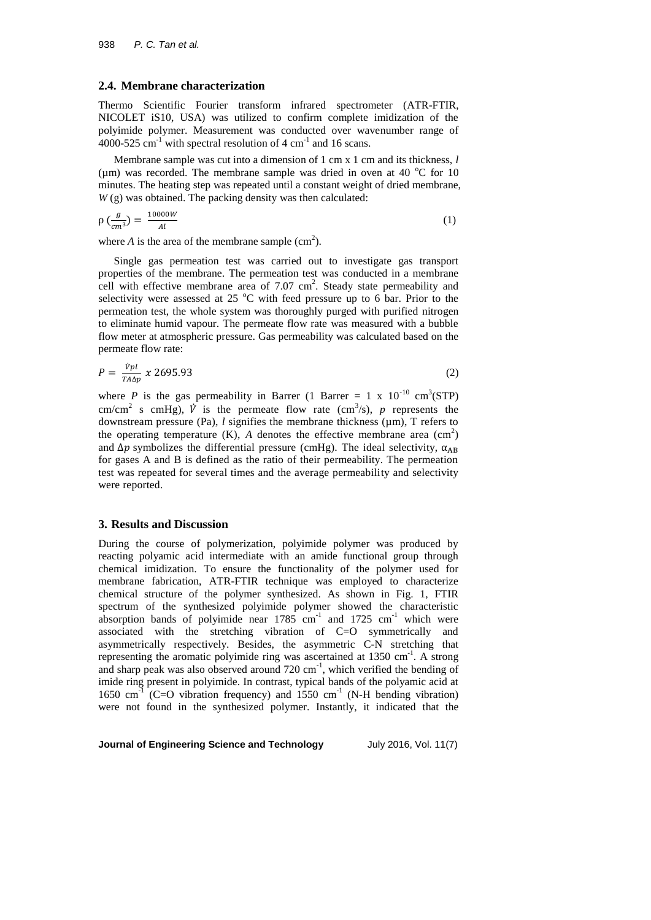#### **2.4. Membrane characterization**

Thermo Scientific Fourier transform infrared spectrometer (ATR-FTIR, NICOLET iS10, USA) was utilized to confirm complete imidization of the polyimide polymer. Measurement was conducted over wavenumber range of 4000-525 cm<sup>-1</sup> with spectral resolution of 4 cm<sup>-1</sup> and 16 scans.

Membrane sample was cut into a dimension of 1 cm x 1 cm and its thickness, *l* ( $\mu$ m) was recorded. The membrane sample was dried in oven at 40 °C for 10 minutes. The heating step was repeated until a constant weight of dried membrane,  $W(g)$  was obtained. The packing density was then calculated:

$$
\rho\left(\frac{g}{cm^3}\right) = \frac{10000W}{Al} \tag{1}
$$

where  $A$  is the area of the membrane sample  $(cm<sup>2</sup>)$ .

Single gas permeation test was carried out to investigate gas transport properties of the membrane. The permeation test was conducted in a membrane cell with effective membrane area of  $7.07 \text{ cm}^2$ . Steady state permeability and selectivity were assessed at 25  $^{\circ}$ C with feed pressure up to 6 bar. Prior to the permeation test, the whole system was thoroughly purged with purified nitrogen to eliminate humid vapour. The permeate flow rate was measured with a bubble flow meter at atmospheric pressure. Gas permeability was calculated based on the permeate flow rate:

$$
P = \frac{\dot{v}_{pl}}{T A \Delta p} \times 2695.93 \tag{2}
$$

where *P* is the gas permeability in Barrer (1 Barrer = 1 x  $10^{-10}$  cm<sup>3</sup>(STP) cm/cm<sup>2</sup> s cmHg),  $\dot{V}$  is the permeate flow rate (cm<sup>3</sup>/s), p represents the downstream pressure (Pa), *l* signifies the membrane thickness (µm), T refers to the operating temperature  $(K)$ , *A* denotes the effective membrane area  $(cm<sup>2</sup>)$ and  $\Delta p$  symbolizes the differential pressure (cmHg). The ideal selectivity,  $\alpha_{AB}$ for gases A and B is defined as the ratio of their permeability. The permeation test was repeated for several times and the average permeability and selectivity were reported.

#### **3. Results and Discussion**

During the course of polymerization, polyimide polymer was produced by reacting polyamic acid intermediate with an amide functional group through chemical imidization. To ensure the functionality of the polymer used for membrane fabrication, ATR-FTIR technique was employed to characterize chemical structure of the polymer synthesized. As shown in Fig. 1, FTIR spectrum of the synthesized polyimide polymer showed the characteristic absorption bands of polyimide near  $1785 \text{ cm}^{-1}$  and  $1725 \text{ cm}^{-1}$  which were associated with the stretching vibration of C=O symmetrically and asymmetrically respectively. Besides, the asymmetric C-N stretching that representing the aromatic polyimide ring was ascertained at  $1350 \text{ cm}^{-1}$ . A strong and sharp peak was also observed around  $720 \text{ cm}^{-1}$ , which verified the bending of imide ring present in polyimide. In contrast, typical bands of the polyamic acid at 1650 cm<sup>-1</sup> (C=O vibration frequency) and 1550 cm<sup>-1</sup> (N-H bending vibration) were not found in the synthesized polymer. Instantly, it indicated that the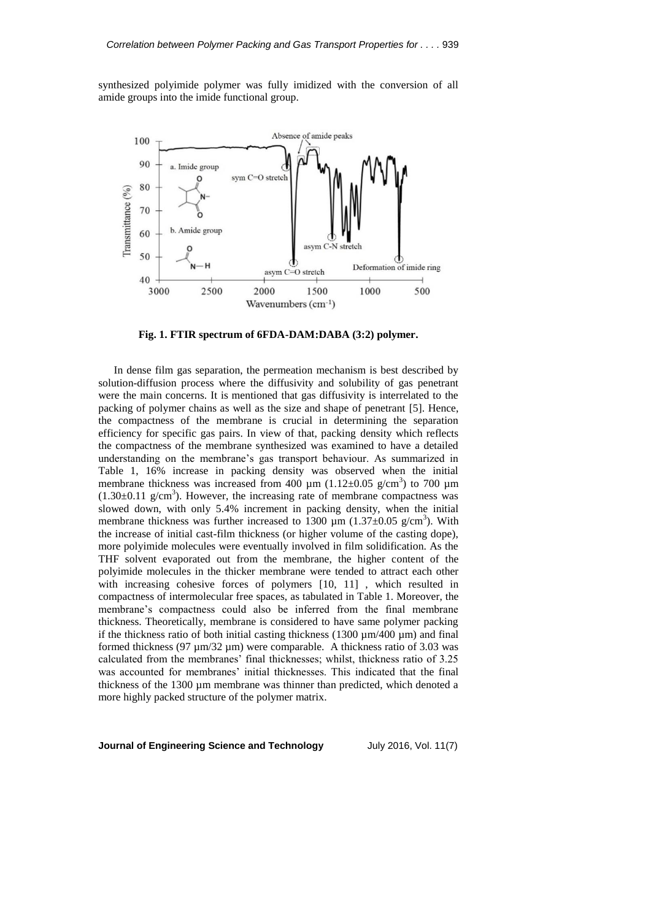synthesized polyimide polymer was fully imidized with the conversion of all amide groups into the imide functional group.



**Fig. 1. FTIR spectrum of 6FDA-DAM:DABA (3:2) polymer.**

In dense film gas separation, the permeation mechanism is best described by solution-diffusion process where the diffusivity and solubility of gas penetrant were the main concerns. It is mentioned that gas diffusivity is interrelated to the packing of polymer chains as well as the size and shape of penetrant [\[5\]](#page-9-4). Hence, the compactness of the membrane is crucial in determining the separation efficiency for specific gas pairs. In view of that, packing density which reflects the compactness of the membrane synthesized was examined to have a detailed understanding on the membrane's gas transport behaviour. As summarized in Table 1, 16% increase in packing density was observed when the initial membrane thickness was increased from 400  $\mu$ m (1.12±0.05 g/cm<sup>3</sup>) to 700  $\mu$ m  $(1.30\pm0.11 \text{ g/cm}^3)$ . However, the increasing rate of membrane compactness was slowed down, with only 5.4% increment in packing density, when the initial membrane thickness was further increased to 1300  $\mu$ m (1.37±0.05 g/cm<sup>3</sup>). With the increase of initial cast-film thickness (or higher volume of the casting dope), more polyimide molecules were eventually involved in film solidification. As the THF solvent evaporated out from the membrane, the higher content of the polyimide molecules in the thicker membrane were tended to attract each other with increasing cohesive forces of polymers [\[10,](#page-10-1) [11\]](#page-10-2) , which resulted in compactness of intermolecular free spaces, as tabulated in Table 1. Moreover, the membrane's compactness could also be inferred from the final membrane thickness. Theoretically, membrane is considered to have same polymer packing if the thickness ratio of both initial casting thickness (1300  $\mu$ m/400  $\mu$ m) and final formed thickness (97  $\mu$ m/32  $\mu$ m) were comparable. A thickness ratio of 3.03 was calculated from the membranes' final thicknesses; whilst, thickness ratio of 3.25 was accounted for membranes' initial thicknesses. This indicated that the final thickness of the 1300 µm membrane was thinner than predicted, which denoted a more highly packed structure of the polymer matrix.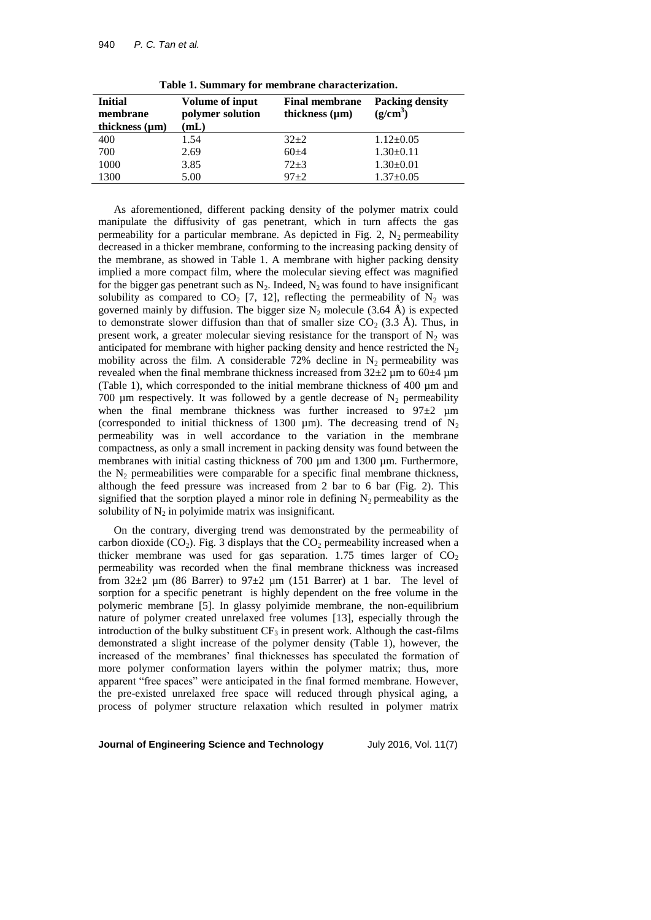| <b>Initial</b><br>membrane<br>thickness $(\mu m)$ | Volume of input<br>polymer solution<br>mL | <b>Final membrane</b><br>thickness $(\mu m)$ | <b>Packing density</b><br>$(g/cm^3)$ |
|---------------------------------------------------|-------------------------------------------|----------------------------------------------|--------------------------------------|
| 400                                               | 1.54                                      | $32+2$                                       | $1.12 \pm 0.05$                      |
| 700                                               | 2.69                                      | $60+4$                                       | $1.30 \pm 0.11$                      |
| 1000                                              | 3.85                                      | $72 + 3$                                     | $1.30 \pm 0.01$                      |
| 1300                                              | 5.00                                      | $97 + 2$                                     | $1.37 \pm 0.05$                      |

**Table 1. Summary for membrane characterization.**

As aforementioned, different packing density of the polymer matrix could manipulate the diffusivity of gas penetrant, which in turn affects the gas permeability for a particular membrane. As depicted in Fig. 2,  $N_2$  permeability decreased in a thicker membrane, conforming to the increasing packing density of the membrane, as showed in Table 1. A membrane with higher packing density implied a more compact film, where the molecular sieving effect was magnified for the bigger gas penetrant such as  $N_2$ . Indeed,  $N_2$  was found to have insignificant solubility as compared to  $CO<sub>2</sub>$  [\[7,](#page-9-6) [12\]](#page-10-3), reflecting the permeability of  $N<sub>2</sub>$  was governed mainly by diffusion. The bigger size  $N_2$  molecule (3.64 Å) is expected to demonstrate slower diffusion than that of smaller size  $CO<sub>2</sub>$  (3.3 Å). Thus, in present work, a greater molecular sieving resistance for the transport of  $N_2$  was anticipated for membrane with higher packing density and hence restricted the  $N_2$ mobility across the film. A considerable 72% decline in  $N_2$  permeability was revealed when the final membrane thickness increased from  $32\pm2$  µm to  $60\pm4$  µm (Table 1), which corresponded to the initial membrane thickness of 400 µm and 700 µm respectively. It was followed by a gentle decrease of  $N_2$  permeability when the final membrane thickness was further increased to  $97\pm2$  µm (corresponded to initial thickness of 1300  $\mu$ m). The decreasing trend of N<sub>2</sub> permeability was in well accordance to the variation in the membrane compactness, as only a small increment in packing density was found between the membranes with initial casting thickness of 700 µm and 1300 µm. Furthermore, the  $N_2$  permeabilities were comparable for a specific final membrane thickness, although the feed pressure was increased from 2 bar to 6 bar (Fig. 2). This signified that the sorption played a minor role in defining  $N_2$  permeability as the solubility of  $N_2$  in polyimide matrix was insignificant.

On the contrary, diverging trend was demonstrated by the permeability of carbon dioxide  $(CO_2)$ . Fig. 3 displays that the  $CO_2$  permeability increased when a thicker membrane was used for gas separation.  $1.75$  times larger of  $CO<sub>2</sub>$ permeability was recorded when the final membrane thickness was increased from  $32\pm2$  µm (86 Barrer) to  $97\pm2$  µm (151 Barrer) at 1 bar. The level of sorption for a specific penetrant is highly dependent on the free volume in the polymeric membrane [\[5\]](#page-9-4). In glassy polyimide membrane, the non-equilibrium nature of polymer created unrelaxed free volumes [\[13\]](#page-10-4), especially through the introduction of the bulky substituent  $CF_3$  in present work. Although the cast-films demonstrated a slight increase of the polymer density (Table 1), however, the increased of the membranes' final thicknesses has speculated the formation of more polymer conformation layers within the polymer matrix; thus, more apparent "free spaces" were anticipated in the final formed membrane. However, the pre-existed unrelaxed free space will reduced through physical aging, a process of polymer structure relaxation which resulted in polymer matrix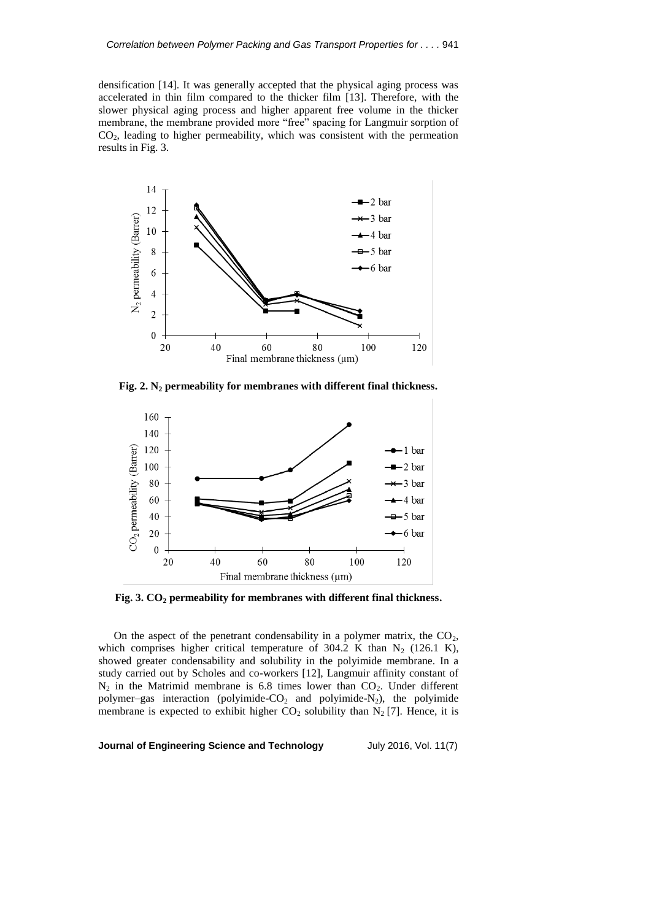densification [\[14\]](#page-10-5). It was generally accepted that the physical aging process was accelerated in thin film compared to the thicker film [\[13\]](#page-10-4). Therefore, with the slower physical aging process and higher apparent free volume in the thicker membrane, the membrane provided more "free" spacing for Langmuir sorption of  $CO<sub>2</sub>$ , leading to higher permeability, which was consistent with the permeation results in Fig. 3.



**Fig. 2. N<sup>2</sup> permeability for membranes with different final thickness.**



**Fig. 3. CO<sup>2</sup> permeability for membranes with different final thickness.**

On the aspect of the penetrant condensability in a polymer matrix, the  $CO<sub>2</sub>$ , which comprises higher critical temperature of 304.2 K than  $N_2$  (126.1 K), showed greater condensability and solubility in the polyimide membrane. In a study carried out by Scholes and co-workers [\[12\]](#page-10-3), Langmuir affinity constant of  $N_2$  in the Matrimid membrane is 6.8 times lower than  $CO_2$ . Under different polymer–gas interaction (polyimide- $CO<sub>2</sub>$  and polyimide- $N<sub>2</sub>$ ), the polyimide membrane is expected to exhibit higher  $CO_2$  solubility than  $N_2$  [\[7\]](#page-9-6). Hence, it is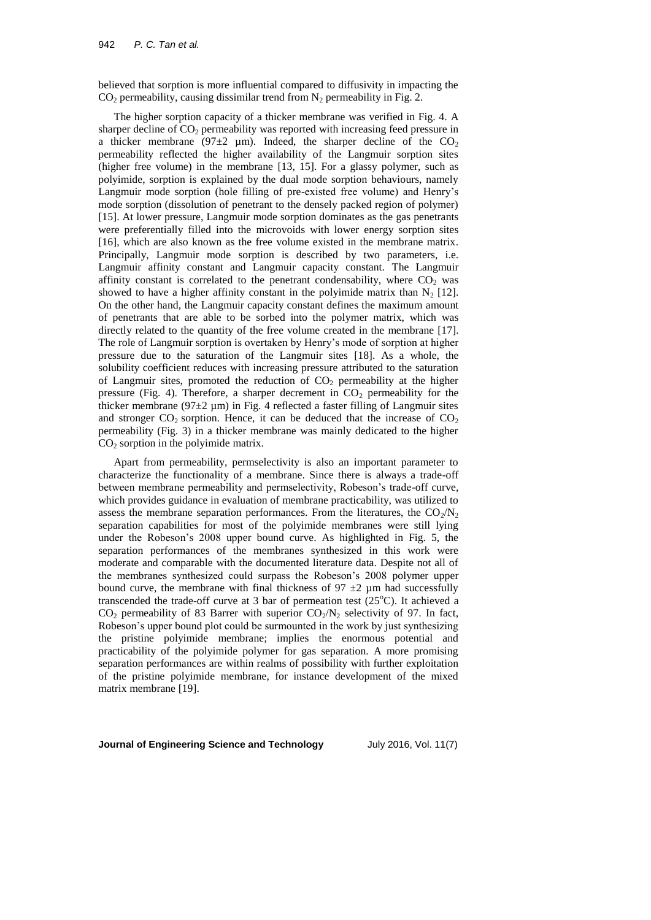believed that sorption is more influential compared to diffusivity in impacting the  $CO<sub>2</sub>$  permeability, causing dissimilar trend from N<sub>2</sub> permeability in Fig. 2.

The higher sorption capacity of a thicker membrane was verified in Fig. 4. A sharper decline of  $CO<sub>2</sub>$  permeability was reported with increasing feed pressure in a thicker membrane (97 $\pm$ 2 µm). Indeed, the sharper decline of the CO<sub>2</sub> permeability reflected the higher availability of the Langmuir sorption sites (higher free volume) in the membrane [\[13,](#page-10-4) [15\]](#page-10-6). For a glassy polymer, such as polyimide, sorption is explained by the dual mode sorption behaviours, namely Langmuir mode sorption (hole filling of pre-existed free volume) and Henry's mode sorption (dissolution of penetrant to the densely packed region of polymer) [\[15\]](#page-10-6). At lower pressure, Langmuir mode sorption dominates as the gas penetrants were preferentially filled into the microvoids with lower energy sorption sites [\[16\]](#page-10-7), which are also known as the free volume existed in the membrane matrix. Principally, Langmuir mode sorption is described by two parameters, i.e. Langmuir affinity constant and Langmuir capacity constant. The Langmuir affinity constant is correlated to the penetrant condensability, where  $CO<sub>2</sub>$  was showed to have a higher affinity constant in the polyimide matrix than  $N_2$  [\[12\]](#page-10-3). On the other hand, the Langmuir capacity constant defines the maximum amount of penetrants that are able to be sorbed into the polymer matrix, which was directly related to the quantity of the free volume created in the membrane [\[17\]](#page-10-8). The role of Langmuir sorption is overtaken by Henry's mode of sorption at higher pressure due to the saturation of the Langmuir sites [\[18\]](#page-10-9). As a whole, the solubility coefficient reduces with increasing pressure attributed to the saturation of Langmuir sites, promoted the reduction of  $CO<sub>2</sub>$  permeability at the higher pressure (Fig. 4). Therefore, a sharper decrement in  $CO<sub>2</sub>$  permeability for the thicker membrane ( $97\pm2$  µm) in Fig. 4 reflected a faster filling of Langmuir sites and stronger  $CO_2$  sorption. Hence, it can be deduced that the increase of  $CO_2$ permeability (Fig. 3) in a thicker membrane was mainly dedicated to the higher  $CO<sub>2</sub>$  sorption in the polyimide matrix.

Apart from permeability, permselectivity is also an important parameter to characterize the functionality of a membrane. Since there is always a trade-off between membrane permeability and permselectivity, Robeson's trade-off curve, which provides guidance in evaluation of membrane practicability, was utilized to assess the membrane separation performances. From the literatures, the  $CO_2/N_2$ separation capabilities for most of the polyimide membranes were still lying under the Robeson's 2008 upper bound curve. As highlighted in Fig. 5, the separation performances of the membranes synthesized in this work were moderate and comparable with the documented literature data. Despite not all of the membranes synthesized could surpass the Robeson's 2008 polymer upper bound curve, the membrane with final thickness of  $97 \pm 2$  µm had successfully transcended the trade-off curve at 3 bar of permeation test  $(25^{\circ}C)$ . It achieved a  $CO<sub>2</sub>$  permeability of 83 Barrer with superior  $CO<sub>2</sub>/N<sub>2</sub>$  selectivity of 97. In fact, Robeson's upper bound plot could be surmounted in the work by just synthesizing the pristine polyimide membrane; implies the enormous potential and practicability of the polyimide polymer for gas separation. A more promising separation performances are within realms of possibility with further exploitation of the pristine polyimide membrane, for instance development of the mixed matrix membrane [\[19\]](#page-10-10).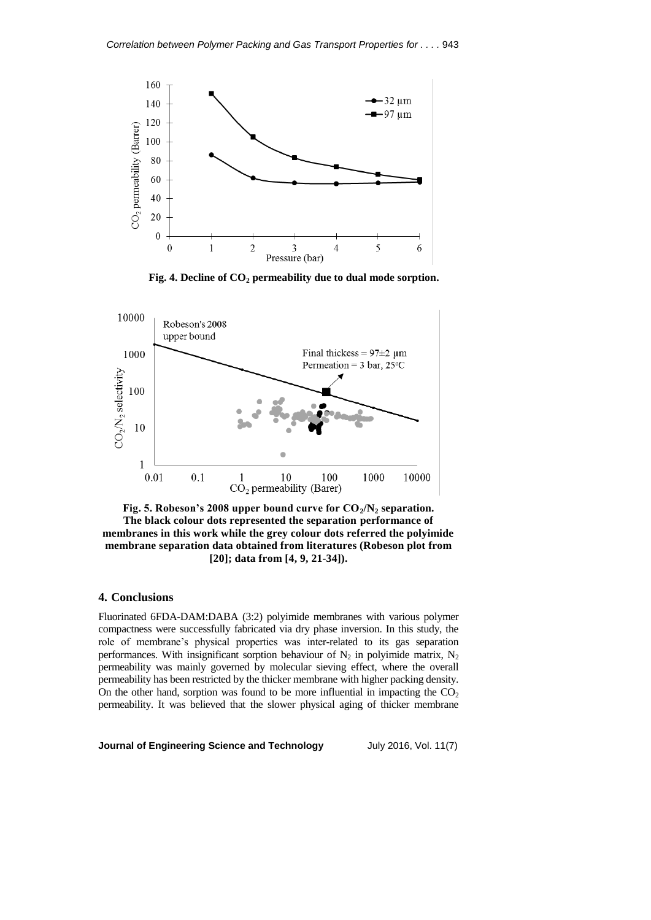

**Fig. 4. Decline of CO<sup>2</sup> permeability due to dual mode sorption.**



**Fig. 5. Robeson's 2008 upper bound curve for CO2/N<sup>2</sup> separation. The black colour dots represented the separation performance of membranes in this work while the grey colour dots referred the polyimide membrane separation data obtained from literatures (Robeson plot from [\[20\]](#page-10-11); data from [\[4,](#page-9-3) [9,](#page-10-0) [21-34\]](#page-10-12)).**

#### **4. Conclusions**

Fluorinated 6FDA-DAM:DABA (3:2) polyimide membranes with various polymer compactness were successfully fabricated via dry phase inversion. In this study, the role of membrane's physical properties was inter-related to its gas separation performances. With insignificant sorption behaviour of  $N_2$  in polyimide matrix,  $N_2$ permeability was mainly governed by molecular sieving effect, where the overall permeability has been restricted by the thicker membrane with higher packing density. On the other hand, sorption was found to be more influential in impacting the  $CO<sub>2</sub>$ permeability. It was believed that the slower physical aging of thicker membrane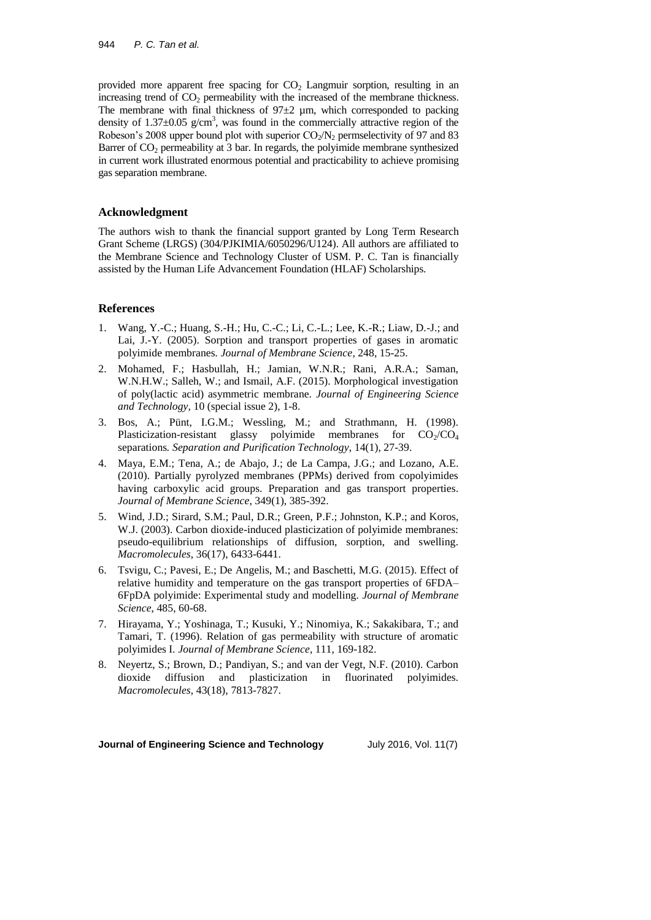provided more apparent free spacing for  $CO<sub>2</sub>$  Langmuir sorption, resulting in an increasing trend of  $CO<sub>2</sub>$  permeability with the increased of the membrane thickness. The membrane with final thickness of  $97\pm2$  µm, which corresponded to packing density of  $1.37 \pm 0.05$  g/cm<sup>3</sup>, was found in the commercially attractive region of the Robeson's 2008 upper bound plot with superior  $CO_2/N_2$  permselectivity of 97 and 83 Barrer of  $CO<sub>2</sub>$  permeability at 3 bar. In regards, the polyimide membrane synthesized in current work illustrated enormous potential and practicability to achieve promising gas separation membrane.

### **Acknowledgment**

The authors wish to thank the financial support granted by Long Term Research Grant Scheme (LRGS) (304/PJKIMIA/6050296/U124). All authors are affiliated to the Membrane Science and Technology Cluster of USM. P. C. Tan is financially assisted by the Human Life Advancement Foundation (HLAF) Scholarships.

## **References**

- <span id="page-9-0"></span>1. Wang, Y.-C.; Huang, S.-H.; Hu, C.-C.; Li, C.-L.; Lee, K.-R.; Liaw, D.-J.; and Lai, J.-Y. (2005). Sorption and transport properties of gases in aromatic polyimide membranes*. Journal of Membrane Science*, 248, 15-25.
- <span id="page-9-1"></span>2. Mohamed, F.; Hasbullah, H.; Jamian, W.N.R.; Rani, A.R.A.; Saman, W.N.H.W.; Salleh, W.; and Ismail, A.F. (2015). Morphological investigation of poly(lactic acid) asymmetric membrane*. Journal of Engineering Science and Technology,* 10 (special issue 2), 1-8.
- <span id="page-9-2"></span>3. Bos, A.; Pünt, I.G.M.; Wessling, M.; and Strathmann, H. (1998). Plasticization-resistant glassy polyimide membranes for  $CO_2/CO_4$ separations*. Separation and Purification Technology*, 14(1), 27-39.
- <span id="page-9-3"></span>4. Maya, E.M.; Tena, A.; de Abajo, J.; de La Campa, J.G.; and Lozano, A.E. (2010). Partially pyrolyzed membranes (PPMs) derived from copolyimides having carboxylic acid groups. Preparation and gas transport properties*. Journal of Membrane Science*, 349(1), 385-392.
- <span id="page-9-4"></span>5. Wind, J.D.; Sirard, S.M.; Paul, D.R.; Green, P.F.; Johnston, K.P.; and Koros, W.J. (2003). Carbon dioxide-induced plasticization of polyimide membranes: pseudo-equilibrium relationships of diffusion, sorption, and swelling*. Macromolecules*, 36(17), 6433-6441.
- <span id="page-9-5"></span>6. Tsvigu, C.; Pavesi, E.; De Angelis, M.; and Baschetti, M.G. (2015). Effect of relative humidity and temperature on the gas transport properties of 6FDA– 6FpDA polyimide: Experimental study and modelling*. Journal of Membrane Science*, 485, 60-68.
- <span id="page-9-6"></span>7. Hirayama, Y.; Yoshinaga, T.; Kusuki, Y.; Ninomiya, K.; Sakakibara, T.; and Tamari, T. (1996). Relation of gas permeability with structure of aromatic polyimides I*. Journal of Membrane Science*, 111, 169-182.
- <span id="page-9-7"></span>8. Neyertz, S.; Brown, D.; Pandiyan, S.; and van der Vegt, N.F. (2010). Carbon dioxide diffusion and plasticization in fluorinated polyimides*. Macromolecules*, 43(18), 7813-7827.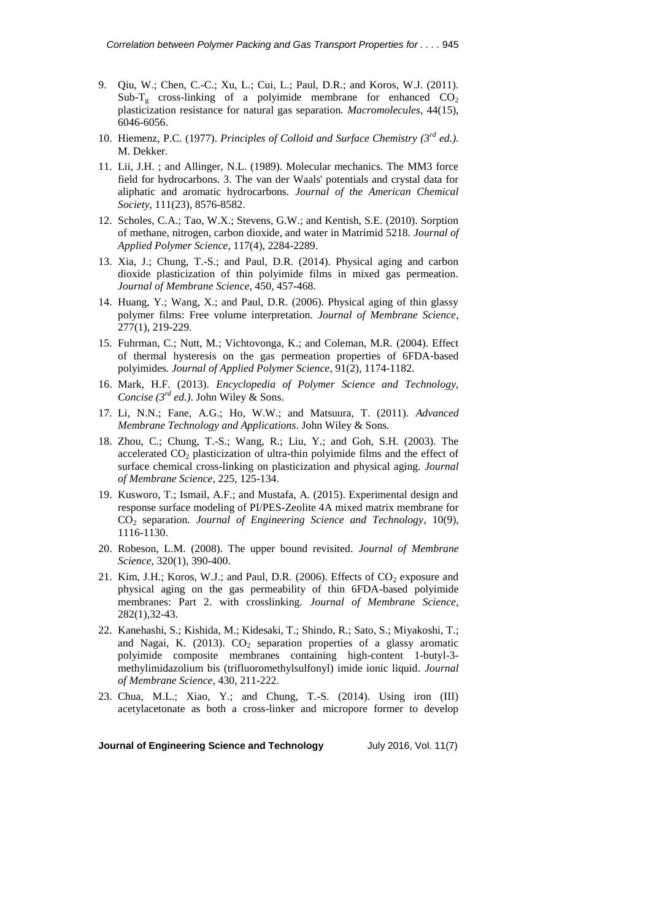- <span id="page-10-0"></span>9. Qiu, W.; Chen, C.-C.; Xu, L.; Cui, L.; Paul, D.R.; and Koros, W.J. (2011). Sub-T<sub>g</sub> cross-linking of a polyimide membrane for enhanced  $CO<sub>2</sub>$ plasticization resistance for natural gas separation*. Macromolecules*, 44(15), 6046-6056.
- <span id="page-10-1"></span>10. Hiemenz, P.C. (1977). *Principles of Colloid and Surface Chemistry (3rd ed.).* M. Dekker.
- <span id="page-10-2"></span>11. Lii, J.H. ; and Allinger, N.L. (1989). Molecular mechanics. The MM3 force field for hydrocarbons. 3. The van der Waals' potentials and crystal data for aliphatic and aromatic hydrocarbons*. Journal of the American Chemical Society*, 111(23), 8576-8582.
- <span id="page-10-3"></span>12. Scholes, C.A.; Tao, W.X.; Stevens, G.W.; and Kentish, S.E. (2010). Sorption of methane, nitrogen, carbon dioxide, and water in Matrimid 5218*. Journal of Applied Polymer Science*, 117(4), 2284-2289.
- <span id="page-10-4"></span>13. Xia, J.; Chung, T.-S.; and Paul, D.R. (2014). Physical aging and carbon dioxide plasticization of thin polyimide films in mixed gas permeation*. Journal of Membrane Science*, 450, 457-468.
- <span id="page-10-5"></span>14. Huang, Y.; Wang, X.; and Paul, D.R. (2006). Physical aging of thin glassy polymer films: Free volume interpretation*. Journal of Membrane Science*, 277(1), 219-229.
- <span id="page-10-6"></span>15. Fuhrman, C.; Nutt, M.; Vichtovonga, K.; and Coleman, M.R. (2004). Effect of thermal hysteresis on the gas permeation properties of 6FDA‐based polyimides*. Journal of Applied Polymer Science*, 91(2), 1174-1182.
- <span id="page-10-7"></span>16. Mark, H.F. (2013). *Encyclopedia of Polymer Science and Technology, Concise (3rd ed.)*. John Wiley & Sons.
- <span id="page-10-8"></span>17. Li, N.N.; Fane, A.G.; Ho, W.W.; and Matsuura, T. (2011). *Advanced Membrane Technology and Applications*. John Wiley & Sons.
- <span id="page-10-9"></span>18. Zhou, C.; Chung, T.-S.; Wang, R.; Liu, Y.; and Goh, S.H. (2003). The accelerated  $CO<sub>2</sub>$  plasticization of ultra-thin polyimide films and the effect of surface chemical cross-linking on plasticization and physical aging*. Journal of Membrane Science*, 225, 125-134.
- <span id="page-10-10"></span>19. Kusworo, T.; Ismail, A.F.; and Mustafa, A. (2015). Experimental design and response surface modeling of PI/PES-Zeolite 4A mixed matrix membrane for CO<sup>2</sup> separation*. Journal of Engineering Science and Technology*, 10(9), 1116-1130.
- <span id="page-10-11"></span>20. Robeson, L.M. (2008). The upper bound revisited*. Journal of Membrane Science*, 320(1), 390-400.
- <span id="page-10-12"></span>21. Kim, J.H.; Koros, W.J.; and Paul, D.R. (2006). Effects of  $CO_2$  exposure and physical aging on the gas permeability of thin 6FDA-based polyimide membranes: Part 2. with crosslinking*. Journal of Membrane Science*, 282(1),32-43.
- 22. Kanehashi, S.; Kishida, M.; Kidesaki, T.; Shindo, R.; Sato, S.; Miyakoshi, T.; and Nagai, K. (2013).  $CO<sub>2</sub>$  separation properties of a glassy aromatic polyimide composite membranes containing high-content 1-butyl-3 methylimidazolium bis (trifluoromethylsulfonyl) imide ionic liquid*. Journal of Membrane Science*, 430, 211-222.
- 23. Chua, M.L.; Xiao, Y.; and Chung, T.-S. (2014). Using iron (III) acetylacetonate as both a cross-linker and micropore former to develop